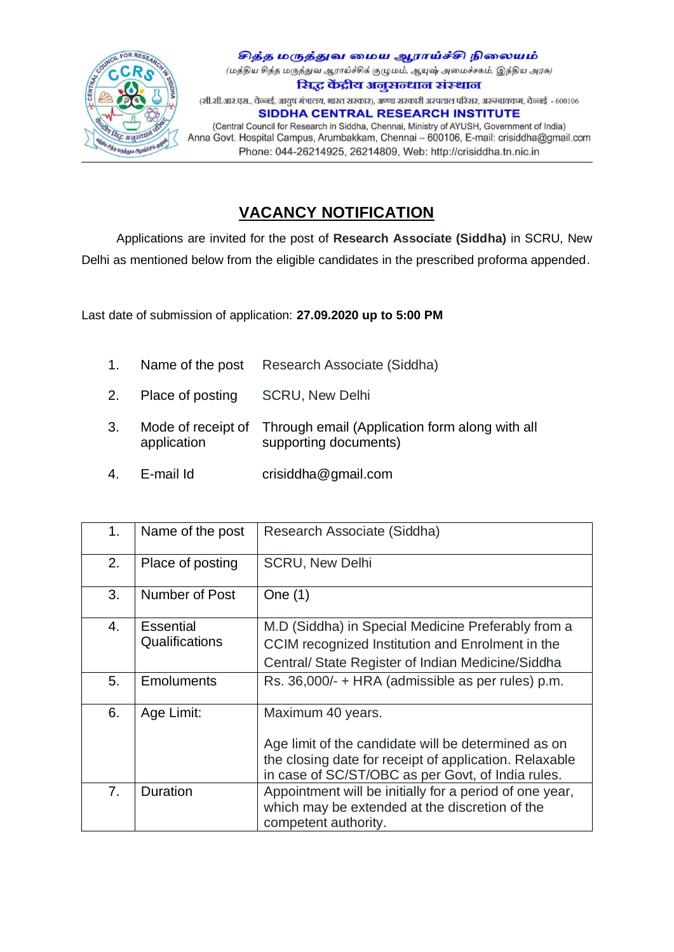

சித்த மருத்துவ மைய ஆராய்ச்சி நிலையம் (மத்திய சித்த மருத்துவ ஆராய்ச்சிக் குழுமம், ஆயுஷ் அமைச்சகம், இந்திய அரசு) सिद्ध केंद्रीय अनुसन्धान संस्थान (सी.सी.आर.एस., चेन्नई, आयुष मंत्रालय, भारत सरकार), अण्णा सरकारी अस्पताल परिसर, अरुम्बावकम, चेन्नई - 600106 SIDDHA CENTRAL RESEARCH INSTITUTE (Central Council for Research in Siddha, Chennai, Ministry of AYUSH, Government of India) Anna Govt. Hospital Campus, Arumbakkam, Chennai - 600106, E-mail: crisiddha@gmail.com Phone: 044-26214925, 26214809, Web: http://crisiddha.tn.nic.in

## **VACANCY NOTIFICATION**

 Applications are invited for the post of **Research Associate (Siddha)** in SCRU, New Delhi as mentioned below from the eligible candidates in the prescribed proforma appended.

Last date of submission of application: **27.09.2020 up to 5:00 PM**

- 1. Name of the post Research Associate (Siddha)
- 2. Place of posting SCRU, New Delhi
- 3. Mode of receipt of Through email (Application form along with all application supporting documents)
- 4. E-mail Id crisiddha@gmail.com

| 1.             | Name of the post  | Research Associate (Siddha)                                                                                                       |
|----------------|-------------------|-----------------------------------------------------------------------------------------------------------------------------------|
| 2.             | Place of posting  | <b>SCRU, New Delhi</b>                                                                                                            |
| 3.             | Number of Post    | One $(1)$                                                                                                                         |
| 4.             | Essential         | M.D (Siddha) in Special Medicine Preferably from a                                                                                |
|                | Qualifications    | CCIM recognized Institution and Enrolment in the                                                                                  |
|                |                   | Central/State Register of Indian Medicine/Siddha                                                                                  |
| 5.             | <b>Emoluments</b> | Rs. 36,000/- + HRA (admissible as per rules) p.m.                                                                                 |
| 6.             | Age Limit:        | Maximum 40 years.                                                                                                                 |
|                |                   | Age limit of the candidate will be determined as on                                                                               |
|                |                   | the closing date for receipt of application. Relaxable                                                                            |
|                |                   | in case of SC/ST/OBC as per Govt, of India rules.                                                                                 |
| 7 <sub>1</sub> | Duration          | Appointment will be initially for a period of one year,<br>which may be extended at the discretion of the<br>competent authority. |